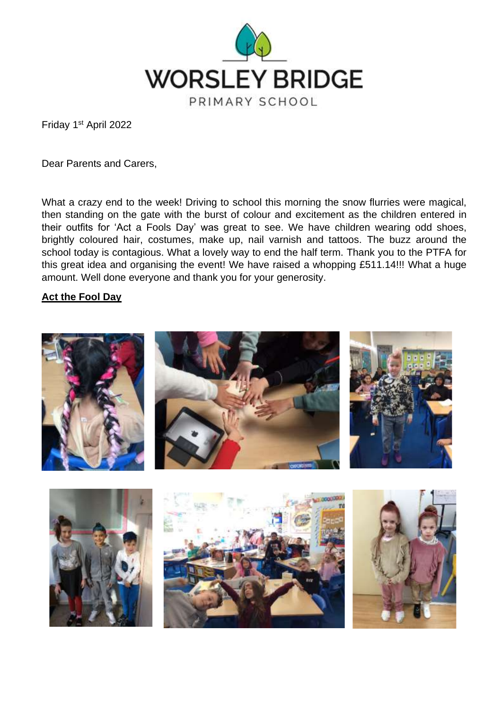

Friday 1st April 2022

Dear Parents and Carers,

What a crazy end to the week! Driving to school this morning the snow flurries were magical, then standing on the gate with the burst of colour and excitement as the children entered in their outfits for 'Act a Fools Day' was great to see. We have children wearing odd shoes, brightly coloured hair, costumes, make up, nail varnish and tattoos. The buzz around the school today is contagious. What a lovely way to end the half term. Thank you to the PTFA for this great idea and organising the event! We have raised a whopping £511.14!!! What a huge amount. Well done everyone and thank you for your generosity.

#### **Act the Fool Day**

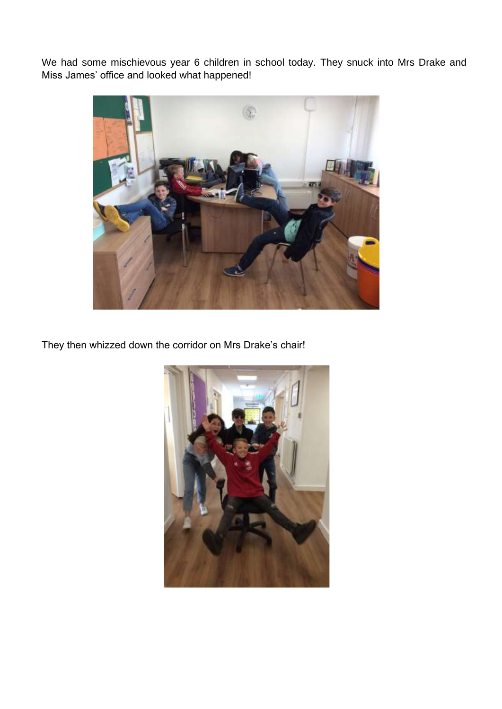We had some mischievous year 6 children in school today. They snuck into Mrs Drake and Miss James' office and looked what happened!



They then whizzed down the corridor on Mrs Drake's chair!

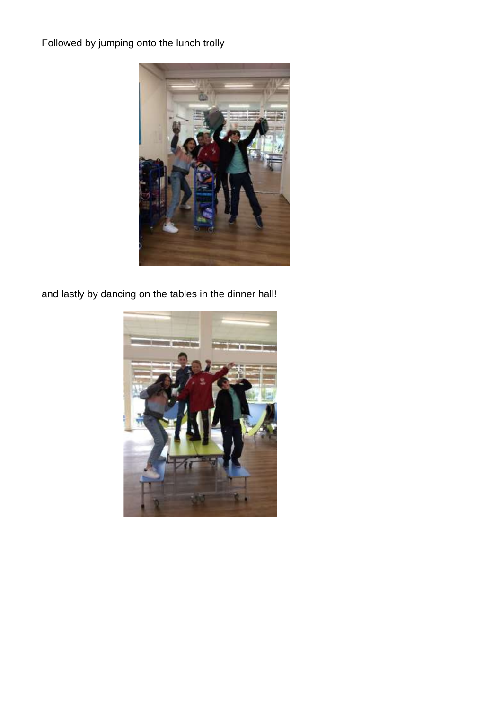Followed by jumping onto the lunch trolly



and lastly by dancing on the tables in the dinner hall!

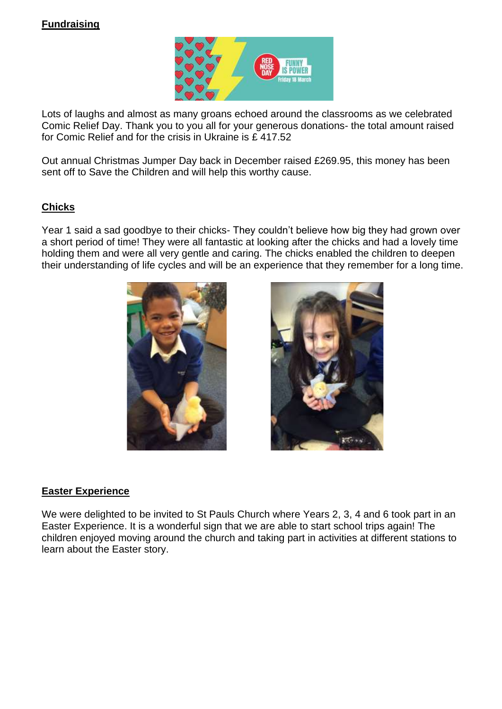# **Fundraising**



Lots of laughs and almost as many groans echoed around the classrooms as we celebrated Comic Relief Day. Thank you to you all for your generous donations- the total amount raised for Comic Relief and for the crisis in Ukraine is £ 417.52

Out annual Christmas Jumper Day back in December raised £269.95, this money has been sent off to Save the Children and will help this worthy cause.

## **Chicks**

Year 1 said a sad goodbye to their chicks- They couldn't believe how big they had grown over a short period of time! They were all fantastic at looking after the chicks and had a lovely time holding them and were all very gentle and caring. The chicks enabled the children to deepen their understanding of life cycles and will be an experience that they remember for a long time.





### **Easter Experience**

We were delighted to be invited to St Pauls Church where Years 2, 3, 4 and 6 took part in an Easter Experience. It is a wonderful sign that we are able to start school trips again! The children enjoyed moving around the church and taking part in activities at different stations to learn about the Easter story.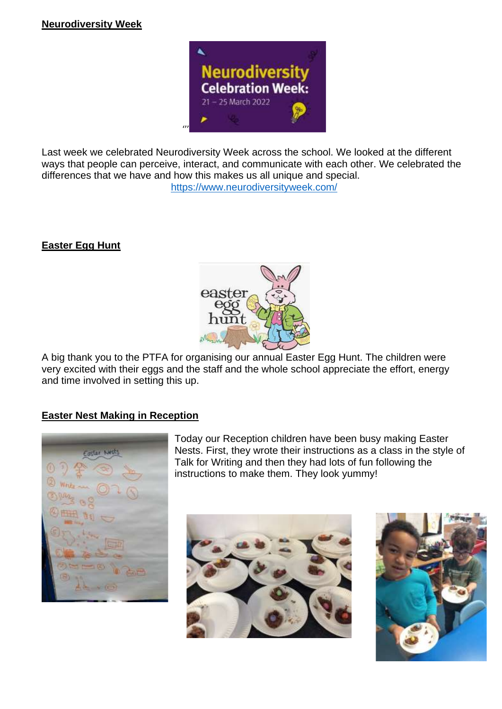

Last week we celebrated Neurodiversity Week across the school. We looked at the different ways that people can perceive, interact, and communicate with each other. We celebrated the differences that we have and how this makes us all unique and special. <https://www.neurodiversityweek.com/>

# **Easter Egg Hunt**



A big thank you to the PTFA for organising our annual Easter Egg Hunt. The children were very excited with their eggs and the staff and the whole school appreciate the effort, energy and time involved in setting this up.

# **Easter Nest Making in Reception**



Today our Reception children have been busy making Easter Nests. First, they wrote their instructions as a class in the style of Talk for Writing and then they had lots of fun following the instructions to make them. They look yummy!



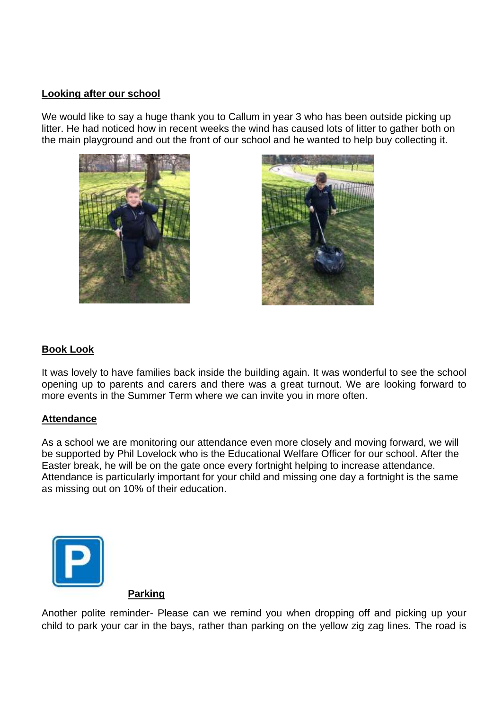#### **Looking after our school**

We would like to say a huge thank you to Callum in year 3 who has been outside picking up litter. He had noticed how in recent weeks the wind has caused lots of litter to gather both on the main playground and out the front of our school and he wanted to help buy collecting it.





### **Book Look**

It was lovely to have families back inside the building again. It was wonderful to see the school opening up to parents and carers and there was a great turnout. We are looking forward to more events in the Summer Term where we can invite you in more often.

#### **Attendance**

As a school we are monitoring our attendance even more closely and moving forward, we will be supported by Phil Lovelock who is the Educational Welfare Officer for our school. After the Easter break, he will be on the gate once every fortnight helping to increase attendance. Attendance is particularly important for your child and missing one day a fortnight is the same as missing out on 10% of their education.



### **Parking**

Another polite reminder- Please can we remind you when dropping off and picking up your child to park your car in the bays, rather than parking on the yellow zig zag lines. The road is